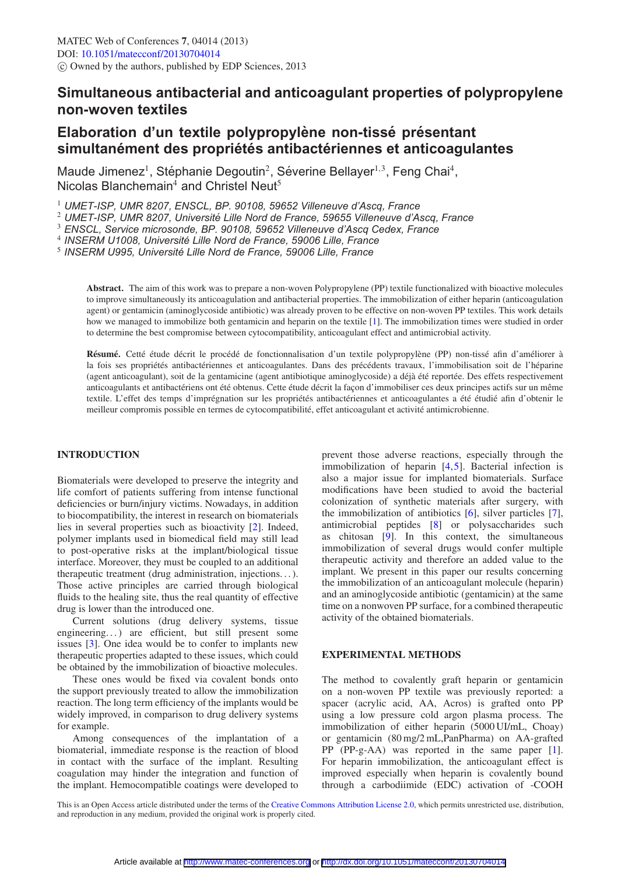# Simultaneous antibacterial and anticoagulant properties of polypropylene non-woven textiles

## Elaboration d'un textile polypropylène non-tissé présentant simultanément des propriétés antibactériennes et anticoagulantes

Maude Jimenez<sup>1</sup>, Stéphanie Degoutin<sup>2</sup>, Séverine Bellayer<sup>1,3</sup>, Feng Chai<sup>4</sup>, Nicolas Blanchemain<sup>4</sup> and Christel Neut<sup>5</sup>

<sup>1</sup> UMET-ISP, UMR 8207, ENSCL, BP. 90108, 59652 Villeneuve d'Ascq, France

<sup>2</sup> UMET-ISP, UMR 8207, Université Lille Nord de France, 59655 Villeneuve d'Ascq, France

<sup>3</sup> ENSCL, Service microsonde, BP. 90108, 59652 Villeneuve d'Ascq Cedex, France

<sup>4</sup> INSERM U1008, Université Lille Nord de France, 59006 Lille, France

<sup>5</sup> INSERM U995, Université Lille Nord de France, 59006 Lille, France

Abstract. The aim of this work was to prepare a non-woven Polypropylene (PP) textile functionalized with bioactive molecules to improve simultaneously its anticoagulation and antibacterial properties. The immobilization of either heparin (anticoagulation agent) or gentamicin (aminoglycoside antibiotic) was already proven to be effective on non-woven PP textiles. This work details how we managed to immobilize both gentamicin and heparin on the textile [1]. The immobilization times were studied in order to determine the best compromise between cytocompatibility, anticoagulant effect and antimicrobial activity.

Résumé. Cetté étude décrit le procédé de fonctionnalisation d'un textile polypropylène (PP) non-tissé afin d'améliorer à la fois ses propriétés antibactériennes et anticoagulantes. Dans des précédents travaux, l'immobilisation soit de l'héparine (agent anticoagulant), soit de la gentamicine (agent antibiotique aminoglycoside) a déjà été reportée. Des effets respectivement anticoagulants et antibactériens ont été obtenus. Cette étude décrit la façon d'immobiliser ces deux principes actifs sur un même textile. L'effet des temps d'imprégnation sur les propriétés antibactériennes et anticoagulantes a été étudié afin d'obtenir le meilleur compromis possible en termes de cytocompatibilité, effet anticoagulant et activité antimicrobienne.

### **INTRODUCTION**

Biomaterials were developed to preserve the integrity and life comfort of patients suffering from intense functional deficiencies or burn/injury victims. Nowadays, in addition to biocompatibility, the interest in research on biomaterials lies in several properties such as bioactivity [2]. Indeed, polymer implants used in biomedical field may still lead to post-operative risks at the implant/biological tissue interface. Moreover, they must be coupled to an additional therapeutic treatment (drug administration, injections...). Those active principles are carried through biological fluids to the healing site, thus the real quantity of effective drug is lower than the introduced one.

Current solutions (drug delivery systems, tissue engineering...) are efficient, but still present some issues [3]. One idea would be to confer to implants new therapeutic properties adapted to these issues, which could be obtained by the immobilization of bioactive molecules.

These ones would be fixed via covalent bonds onto the support previously treated to allow the immobilization reaction. The long term efficiency of the implants would be widely improved, in comparison to drug delivery systems for example.

Among consequences of the implantation of a biomaterial, immediate response is the reaction of blood in contact with the surface of the implant. Resulting coagulation may hinder the integration and function of the implant. Hemocompatible coatings were developed to

prevent those adverse reactions, especially through the immobilization of heparin  $[4,5]$ . Bacterial infection is also a major issue for implanted biomaterials. Surface modifications have been studied to avoid the bacterial colonization of synthetic materials after surgery, with the immobilization of antibiotics  $[6]$ , silver particles  $[7]$ , antimicrobial peptides [8] or polysaccharides such as chitosan [9]. In this context, the simultaneous immobilization of several drugs would confer multiple therapeutic activity and therefore an added value to the implant. We present in this paper our results concerning the immobilization of an anticoagulant molecule (heparin) and an aminoglycoside antibiotic (gentamicin) at the same time on a nonwoven PP surface, for a combined therapeutic activity of the obtained biomaterials.

### **EXPERIMENTAL METHODS**

The method to covalently graft heparin or gentamicin on a non-woven PP textile was previously reported: a spacer (acrylic acid, AA, Acros) is grafted onto PP using a low pressure cold argon plasma process. The immobilization of either heparin (5000 UI/mL, Choay) or gentamicin (80 mg/2 mL, PanPharma) on AA-grafted PP (PP-g-AA) was reported in the same paper  $[1]$ . For heparin immobilization, the anticoagulant effect is improved especially when heparin is covalently bound through a carbodiimide (EDC) activation of -COOH

This is an Open Access article distributed under the terms of the Creative Commons Attribution License 2.0, which permits unrestricted use, distribution, and reproduction in any medium, provided the original work is properly cited.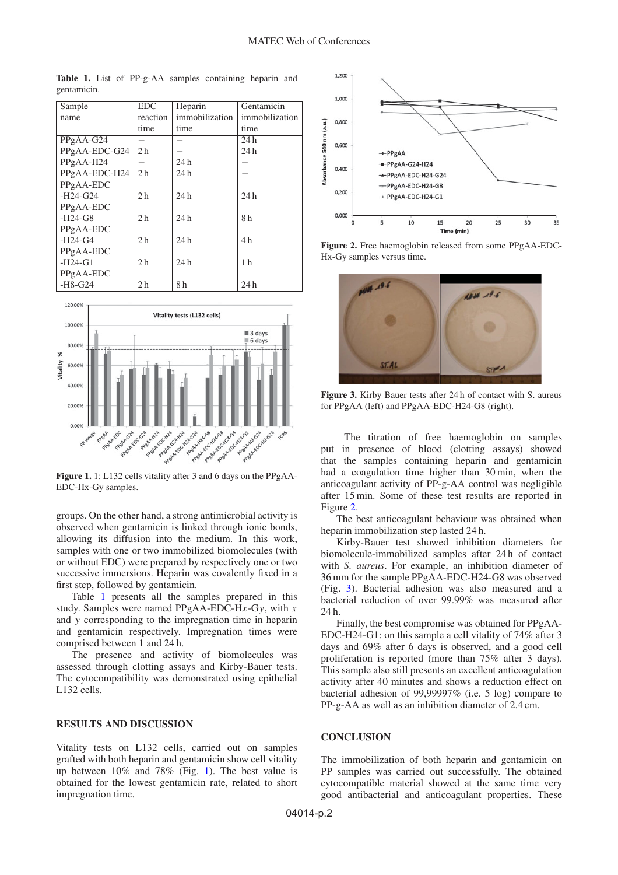| Sample        | EDC.           | Heparin        | Gentamicin     |
|---------------|----------------|----------------|----------------|
| name          | reaction       | immobilization | immobilization |
|               | time           | time           | time           |
| PPgAA-G24     |                |                | 24h            |
| PPgAA-EDC-G24 | 2 <sub>h</sub> |                | 24h            |
| PPgAA-H24     |                | 24h            |                |
| PPgAA-EDC-H24 | 2 <sub>h</sub> | 24 h           |                |
| PPgAA-EDC     |                |                |                |
| $-H24-G24$    | 2 <sub>h</sub> | 24 h           | 24 h           |
| PPgAA-EDC     |                |                |                |
| $-H24-G8$     | 2 <sub>h</sub> | 24 h           | 8 h            |
| PPgAA-EDC     |                |                |                |
| $-H24-G4$     | 2 <sub>h</sub> | 24 h           | 4 h            |
| PPgAA-EDC     |                |                |                |
| $-H24-G1$     | 2 <sub>h</sub> | 24h            | 1 <sub>h</sub> |
| PPgAA-EDC     |                |                |                |
| $-H8-G24$     | 2 <sub>h</sub> | 8 <sub>h</sub> | 24 h           |

<span id="page-1-0"></span>**Table 1.** List of PP-g-AA samples containing heparin and gentamicin.

<span id="page-1-1"></span>

**Figure 1.** 1: L132 cells vitality after 3 and 6 days on the PPgAA-EDC-Hx-Gy samples.

groups. On the other hand, a strong antimicrobial activity is observed when gentamicin is linked through ionic bonds, allowing its diffusion into the medium. In this work, samples with one or two immobilized biomolecules (with or without EDC) were prepared by respectively one or two successive immersions. Heparin was covalently fixed in a first step, followed by gentamicin.

Table [1](#page-1-0) presents all the samples prepared in this study. Samples were named PPgAA-EDC-H*x*-G*y*, with *x* and *y* corresponding to the impregnation time in heparin and gentamicin respectively. Impregnation times were comprised between 1 and 24 h.

The presence and activity of biomolecules was assessed through clotting assays and Kirby-Bauer tests. The cytocompatibility was demonstrated using epithelial L132 cells.

### **RESULTS AND DISCUSSION**

Vitality tests on L132 cells, carried out on samples grafted with both heparin and gentamicin show cell vitality up between 10% and 78% (Fig. [1\)](#page-1-1). The best value is obtained for the lowest gentamicin rate, related to short impregnation time.

<span id="page-1-2"></span>

**Figure 2.** Free haemoglobin released from some PPgAA-EDC-Hx-Gy samples versus time.

<span id="page-1-3"></span>

**Figure 3.** Kirby Bauer tests after 24 h of contact with S. aureus for PPgAA (left) and PPgAA-EDC-H24-G8 (right).

The titration of free haemoglobin on samples put in presence of blood (clotting assays) showed that the samples containing heparin and gentamicin had a coagulation time higher than 30 min, when the anticoagulant activity of PP-g-AA control was negligible after 15 min. Some of these test results are reported in Figure [2.](#page-1-2)

The best anticoagulant behaviour was obtained when heparin immobilization step lasted 24 h.

Kirby-Bauer test showed inhibition diameters for biomolecule-immobilized samples after 24 h of contact with *S. aureus*. For example, an inhibition diameter of 36 mm for the sample PPgAA-EDC-H24-G8 was observed (Fig. [3\)](#page-1-3). Bacterial adhesion was also measured and a bacterial reduction of over 99.99% was measured after 24 h.

Finally, the best compromise was obtained for PPgAA-EDC-H24-G1: on this sample a cell vitality of 74% after 3 days and 69% after 6 days is observed, and a good cell proliferation is reported (more than 75% after 3 days). This sample also still presents an excellent anticoagulation activity after 40 minutes and shows a reduction effect on bacterial adhesion of 99,99997% (i.e. 5 log) compare to PP-g-AA as well as an inhibition diameter of 2.4 cm.

#### **CONCLUSION**

The immobilization of both heparin and gentamicin on PP samples was carried out successfully. The obtained cytocompatible material showed at the same time very good antibacterial and anticoagulant properties. These